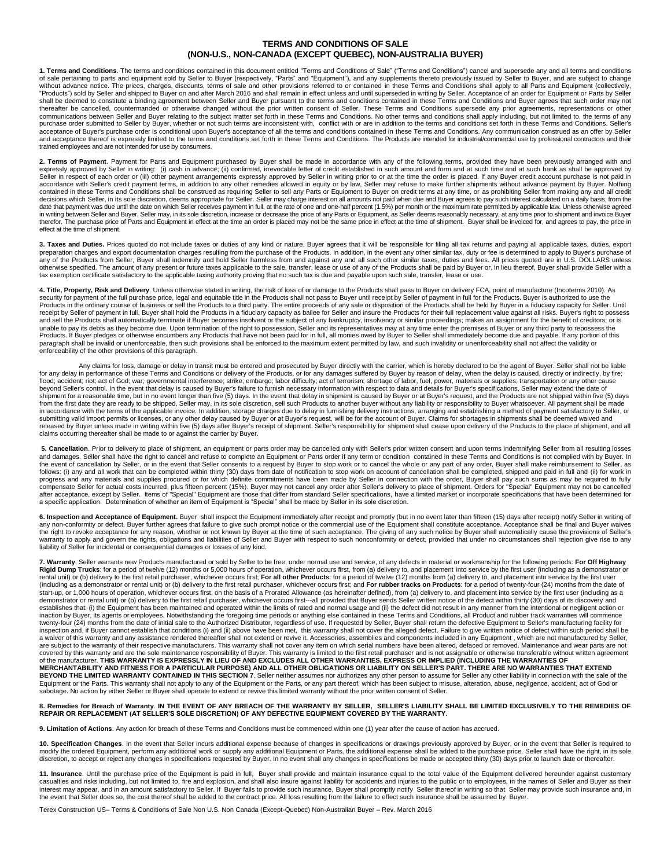## **TERMS AND CONDITIONS OF SALE (NON-U.S., NON-CANADA (EXCEPT QUEBEC), NON-AUSTRALIA BUYER)**

**1. Terms and Conditions**. The terms and conditions contained in this document entitled "Terms and Conditions of Sale" ("Terms and Conditions") cancel and supersede any and all terms and conditions of sale pertaining to parts and equipment sold by Seller to Buyer (respectively, "Parts" and "Equipment"), and any supplements thereto previously issued by Seller to Buyer, and are subject to change without advance notice. The prices, charges, discounts, terms of sale and other provisions referred to or contained in these Terms and Conditions shall apply to all Parts and Equipment (collectively, "Products") sold by Seller and shipped to Buyer on and after March 2016 and shall remain in effect unless and until superseded in writing by Seller. Acceptance of an order for Equipment or Parts by Seller<br>shall be deemed t thereafter be cancelled, countermanded or otherwise changed without the prior written consent of Seller. These Terms and Conditions supersede any prior agreements, representations or other<br>communications between Seller and purchase order submitted to Seller by Buyer, whether or not such terms are inconsistent with, conflict with or are in addition to the terms and conditions set forth in these Terms and Conditions. Seller's acceptance of Buyer's purchase order is conditional upon Buyer's acceptance of all the terms and conditions contained in these Terms and Conditions. Any communication construed as an offer by Seller and acceptance thereof is expressly limited to the terms and conditions set forth in these Terms and Conditions. The Products are intended for industrial/commercial use by professional contractors and their and conditions trained employees and are not intended for use by consumers.

**2. Terms of Payment**. Payment for Parts and Equipment purchased by Buyer shall be made in accordance with any of the following terms, provided they have been previously arranged with and expressly approved by Seller in writing: (i) cash in advance; (ii) confirmed, irrevocable letter of credit established in such amount and form and at such time and at such bank as shall be approved by<br>Seller in respect of accordance with Seller's credit payment terms, in addition to any other remedies allowed in equity or by law, Seller may refuse to make further shipments without advance payment by Buyer. Nothing<br>contained in these Terms a date that payment was due until the date on which Seller receives payment in full, at the rate of one and one-half percent (1.5%) per month or the maximum rate permitted by applicable law. Unless otherwise agreed<br>in writin therefor. The purchase price of Parts and Equipment in effect at the time an order is placed may not be the same price in effect at the time of shipment. Buyer shall be invoiced for, and agrees to pay, the price in effect at the time of shipment.

**3. Taxes and Duties.** Prices quoted do not include taxes or duties of any kind or nature. Buyer agrees that it will be responsible for filing all tax returns and paying all applicable taxes, duties, export preparation cha

**4. Title, Property, Risk and Delivery**. Unless otherwise stated in writing, the risk of loss of or damage to the Products shall pass to Buyer on delivery FCA, point of manufacture (Incoterms 2010). As security for payment of the full purchase price, legal and equitable title in the Products shall not pass to Buyer until receipt by Seller of payment in full for the Products. Buyer is authorized to use the Products in the ordinary course of business or sell the Products to a third party. The entire proceeds of any sale or disposition of the Products shall be held by Buyer in a fiduciary capacity for Seller. Until receipt by Seller of payment in full, Buyer shall hold the Products in a fiduciary capacity as bailee for Seller and insure the Products for their full replacement value against all risks. Buyer's right to possess and sell the Products shall automatically terminate if Buyer becomes insolvent or the subject of any bankruptcy, insolvency or similar proceedings; makes an assignment for the benefit of creditors; or is<br>unable to pay its paragraph shall be invalid or unenforceable, then such provisions shall be enforced to the maximum extent permitted by law, and such invalidity or unenforceability shall not affect the validity or enforceability of the other provisions of this paragraph.

Any claims for loss, damage or delay in transit must be entered and prosecuted by Buyer directly with the carrier, which is hereby declared to be the agent of Buyer. Seller shall not be liable<br>for any delay in performance flood; accident; riot; act of God; war; governmental interference; strike; embargo; labor difficulty; act of terrorism; shortage of labor, fuel, power, materials or supplies; transportation or any other cause beyond Seller's control. In the event that delay is caused by Buyer's failure to furnish necessary information with respect to data and details for Buyer's specifications, Seller may extend the date of<br>shipment for a reaso from the first date they are ready to be shipped, Seller may, in its sole discretion, sell such Products to another buyer without any liability or responsibility to Buyer whatsoever. All payment shall be made<br>in accordance submitting valid import permits or licenses, or any other delay caused by Buyer or at Buyer's request, will be for the account of Buyer. Claims for shortages in shipments shall be deemed waived and released by Buyer unless made in writing within five (5) days after Buyer's receipt of shipment. Seller's responsibility for shipment shall cease upon delivery of the Products to the place of shipment, and all claims occurring thereafter shall be made to or against the carrier by Buyer.

5. Cancellation. Prior to delivery to place of shipment, an equipment or parts order may be cancelled only with Seller's prior written consent and upon terms indemnifying Seller from all resulting losses and damages. Seller shall have the right to cancel and refuse to complete an Equipment or Parts order if any term or condition contained in these Terms and Conditions is not complied with by Buyer. In the event of cancellation by Seller, or in the event that Seller consents to a request by Buyer to stop work or to cancel the whole or any part of any order, Buyer shall make reimbursement to Seller, as<br>follows: (i) any an progress and any materials and supplies procured or for which definite commitments have been made by Seller in connection with the order, Buyer shall pay such sums as may be required to fully<br>compensate Seller for actual c after acceptance, except by Seller. Items of "Special" Equipment are those that differ from standard Seller specifications, have a limited market or incorporate specifications that have been determined for a specific application. Determination of whether an item of Equipment is "Special" shall be made by Seller in its sole discretion.

**6. Inspection and Acceptance of Equipment.** Buyer shall inspect the Equipment immediately after receipt and promptly (but in no event later than fifteen (15) days after receipt) notify Seller in writing of<br>any non-conform warranty to apply and govern the rights, obligations and liabilities of Seller and Buyer with respect to such nonconformity or defect, provided that under no circumstances shall rejection give rise to any<br>liability of Sell

**7. Warranty**. Seller warrants new Products manufactured or sold by Seller to be free, under normal use and service, of any defects in material or workmanship for the following periods: **For Off Highway Rigid Dump Trucks**: for a period of twelve (12) months or 5,000 hours of operation, whichever occurs first, from (a) delivery to, and placement into service by the first user (including as a demonstrator or<br>rental unit) o (including as a demonstrator or rental unit) or (b) delivery to the first retail purchaser, whichever occurs first; and **For rubber tracks on Products**: for a period of twenty-four (24) months from the date of start-up, or 1,000 hours of operation, whichever occurs first, on the basis of a Prorated Allowance (as hereinafter defined), from (a) delivery to, and placement into service by the first user (including as a demonstrator or rental unit) or (b) delivery to the first retail purchaser, whichever occurs first---all provided that Buyer sends Seller written notice of the defect within thirty (30) days of its discovery and establishes that: (i) the Equipment has been maintained and operated within the limits of rated and normal usage and (ii) the defect did not result in any manner from the intentional or negligent action or inaction by Buyer, its agents or employees. Notwithstanding the foregoing time periods or anything else contained in these Terms and Conditions, all Product and rubber track warranties will commence twenty-four (24) months from the date of initial sale to the Authorized Distributor, regardless of use. If requested by Seller, Buyer shall return the defective Equipment to Seller's manufacturing facility for inspection and, if Buyer cannot establish that conditions (i) and (ii) above have been met, this warranty shall not cover the alleged defect. Failure to give written notice of defect within such period shall be a waiver of this warranty and any assistance rendered thereafter shall not extend or revive it. Accessories, assemblies and components included in any Equipment , which are not manufactured by Seller,<br>are subject to the wa covered by this warranty and are the sole maintenance responsibility of Buyer. This warranty is limited to the first retail purchaser and is not assignable or otherwise transferable without written agreement<br>of the manufac MERCHANTABILITY AND FITNESS FOR A PARTICULAR PURPOSE) AND ALL OTHER OBLIGATIONS OR LIABILITY ON SELLER'S PART. THERE ARE NO WARRANTIES THAT EXTEND<br>BEYOND THE LIMITED WARRANTY CONTAINED IN THIS SECTION 7. Seller neither ass sabotage. No action by either Seller or Buyer shall operate to extend or revive this limited warranty without the prior written consent of Seller.

## 8. Remedies for Breach of Warranty. IN THE EVENT OF ANY BREACH OF THE WARRANTY BY SELLER, SELLER'S LIABILITY SHALL BE LIMITED EXCLUSIVELY TO THE REMEDIES OF<br>REPAIR OR REPLACEMENT (AT SELLER'S SOLE DISCRETION) OF ANY DEFEC

**9. Limitation of Actions**. Any action for breach of these Terms and Conditions must be commenced within one (1) year after the cause of action has accrued.

**10. Specification Changes**. In the event that Seller incurs additional expense because of changes in specifications or drawings previously approved by Buyer, or in the event that Seller is required to modify the ordered Equipment, perform any additional work or supply any additional Equipment or Parts, the additional expense shall be added to the purchase price. Seller shall have the right, in its sole<br>discretion, to ac

11. Insurance. Until the purchase price of the Equipment is paid in full, Buyer shall provide and maintain insurance equal to the total value of the Equipment delivered hereunder against customary<br>casualties and risks incl interest may appear, and in an amount satisfactory to Seller. If Buyer fails to provide such insurance, Buyer shall promptly notify Seller thereof in writing so that Seller may provide such insurance and, in<br>the event that

Terex Construction US– Terms & Conditions of Sale Non U.S. Non Canada (Except-Quebec) Non-Australian Buyer – Rev. March 2016